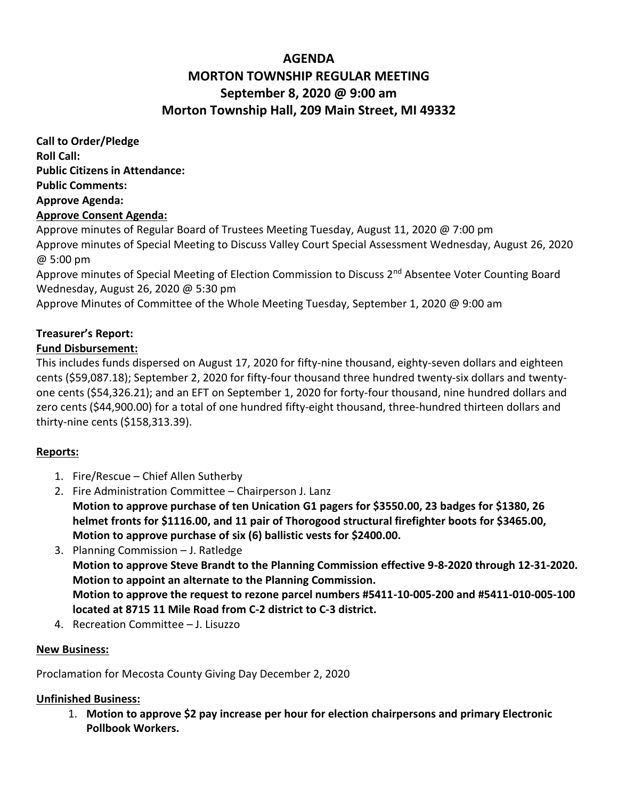# **AGENDA MORTON TOWNSHIP REGULAR MEETING September 8, 2020 @ 9:00 am Morton Township Hall, 209 Main Street, MI 49332**

**Call to Order/Pledge Roll Call: Public Citizens in Attendance: Public Comments: Approve Agenda: Approve Consent Agenda:** 

Approve minutes of Regular Board of Trustees Meeting Tuesday, August 11, 2020 @ 7:00 pm Approve minutes of Special Meeting to Discuss Valley Court Special Assessment Wednesday, August 26, 2020 @ 5:00 pm

Approve minutes of Special Meeting of Election Commission to Discuss 2<sup>nd</sup> Absentee Voter Counting Board Wednesday, August 26, 2020 @ 5:30 pm

Approve Minutes of Committee of the Whole Meeting Tuesday, September 1, 2020 @ 9:00 am

## **Treasurer's Report:**

### **Fund Disbursement:**

This includes funds dispersed on August 17, 2020 for fifty-nine thousand, eighty-seven dollars and eighteen cents (\$59,087.18); September 2, 2020 for fifty-four thousand three hundred twenty-six dollars and twentyone cents (\$54,326.21); and an EFT on September 1, 2020 for forty-four thousand, nine hundred dollars and zero cents (\$44,900.00) for a total of one hundred fifty-eight thousand, three-hundred thirteen dollars and thirty-nine cents (\$158,313.39).

#### **Reports:**

- 1. Fire/Rescue Chief Allen Sutherby
- 2. Fire Administration Committee Chairperson J. Lanz **Motion to approve purchase of ten Unication G1 pagers for \$3550.00, 23 badges for \$1380, 26 helmet fronts for \$1116.00, and 11 pair of Thorogood structural firefighter boots for \$3465.00, Motion to approve purchase of six (6) ballistic vests for \$2400.00.**
- 3. Planning Commission J. Ratledge **Motion to approve Steve Brandt to the Planning Commission effective 9-8-2020 through 12-31-2020. Motion to appoint an alternate to the Planning Commission. Motion to approve the request to rezone parcel numbers #5411-10-005-200 and #5411-010-005-100 located at 8715 11 Mile Road from C-2 district to C-3 district.**
- 4. Recreation Committee J. Lisuzzo

#### **New Business:**

Proclamation for Mecosta County Giving Day December 2, 2020

#### **Unfinished Business:**

1. **Motion to approve \$2 pay increase per hour for election chairpersons and primary Electronic Pollbook Workers.**